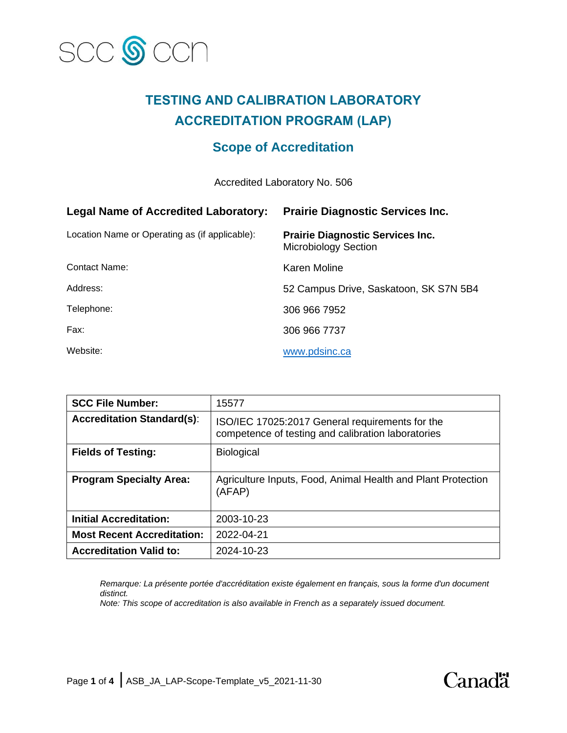

# **TESTING AND CALIBRATION LABORATORY ACCREDITATION PROGRAM (LAP)**

# **Scope of Accreditation**

Accredited Laboratory No. 506

| <b>Legal Name of Accredited Laboratory:</b>    | <b>Prairie Diagnostic Services Inc.</b>                                |
|------------------------------------------------|------------------------------------------------------------------------|
| Location Name or Operating as (if applicable): | <b>Prairie Diagnostic Services Inc.</b><br><b>Microbiology Section</b> |
| Contact Name:                                  | Karen Moline                                                           |
| Address:                                       | 52 Campus Drive, Saskatoon, SK S7N 5B4                                 |
| Telephone:                                     | 306 966 7952                                                           |
| Fax:                                           | 306 966 7737                                                           |
| Website:                                       | www.pdsinc.ca                                                          |

| <b>SCC File Number:</b>           | 15577                                                                                                 |
|-----------------------------------|-------------------------------------------------------------------------------------------------------|
| <b>Accreditation Standard(s):</b> | ISO/IEC 17025:2017 General requirements for the<br>competence of testing and calibration laboratories |
| <b>Fields of Testing:</b>         | <b>Biological</b>                                                                                     |
| <b>Program Specialty Area:</b>    | Agriculture Inputs, Food, Animal Health and Plant Protection<br>(AFAP)                                |
| <b>Initial Accreditation:</b>     | 2003-10-23                                                                                            |
| <b>Most Recent Accreditation:</b> | 2022-04-21                                                                                            |
| <b>Accreditation Valid to:</b>    | 2024-10-23                                                                                            |

*Remarque: La présente portée d'accréditation existe également en français, sous la forme d'un document distinct.*

*Note: This scope of accreditation is also available in French as a separately issued document.*

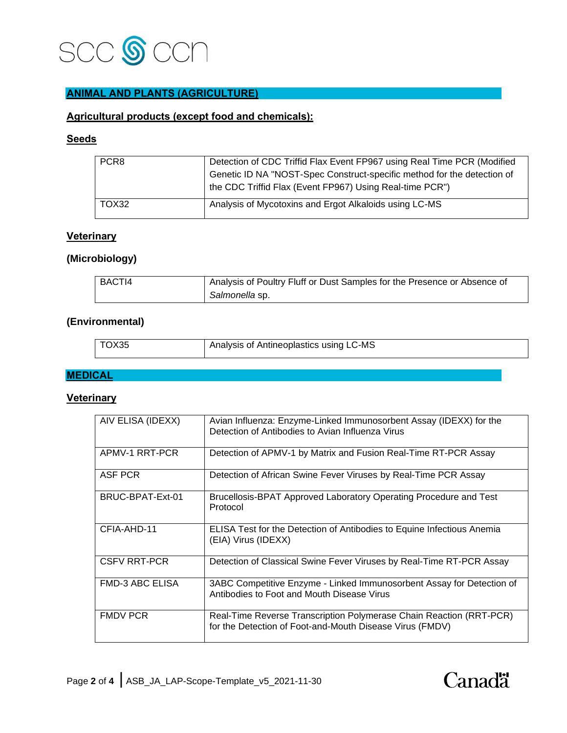

## **ANIMAL AND PLANTS (AGRICULTURE)**

### **Agricultural products (except food and chemicals):**

# **Seeds**

| PCR <sub>8</sub> | Detection of CDC Triffid Flax Event FP967 using Real Time PCR (Modified |
|------------------|-------------------------------------------------------------------------|
|                  | Genetic ID NA "NOST-Spec Construct-specific method for the detection of |
|                  | the CDC Triffid Flax (Event FP967) Using Real-time PCR")                |
|                  |                                                                         |
| TOX32            | Analysis of Mycotoxins and Ergot Alkaloids using LC-MS                  |
|                  |                                                                         |

# **Veterinary**

### **(Microbiology)**

| BACTI4 | Analysis of Poultry Fluff or Dust Samples for the Presence or Absence of |
|--------|--------------------------------------------------------------------------|
|        | Salmonella sp.                                                           |

#### **(Environmental)**

| TOX35 | Analysis of Antineoplastics using LC-MS |
|-------|-----------------------------------------|

#### **MEDICAL**

#### **Veterinary**

| AIV ELISA (IDEXX)      | Avian Influenza: Enzyme-Linked Immunosorbent Assay (IDEXX) for the<br>Detection of Antibodies to Avian Influenza Virus          |
|------------------------|---------------------------------------------------------------------------------------------------------------------------------|
| APMV-1 RRT-PCR         | Detection of APMV-1 by Matrix and Fusion Real-Time RT-PCR Assay                                                                 |
| ASF PCR                | Detection of African Swine Fever Viruses by Real-Time PCR Assay                                                                 |
| BRUC-BPAT-Ext-01       | Brucellosis-BPAT Approved Laboratory Operating Procedure and Test<br>Protocol                                                   |
| CFIA-AHD-11            | <b>ELISA Test for the Detection of Antibodies to Equine Infectious Anemia</b><br>(EIA) Virus (IDEXX)                            |
| <b>CSFV RRT-PCR</b>    | Detection of Classical Swine Fever Viruses by Real-Time RT-PCR Assay                                                            |
| <b>FMD-3 ABC ELISA</b> | 3ABC Competitive Enzyme - Linked Immunosorbent Assay for Detection of<br>Antibodies to Foot and Mouth Disease Virus             |
| <b>FMDV PCR</b>        | Real-Time Reverse Transcription Polymerase Chain Reaction (RRT-PCR)<br>for the Detection of Foot-and-Mouth Disease Virus (FMDV) |

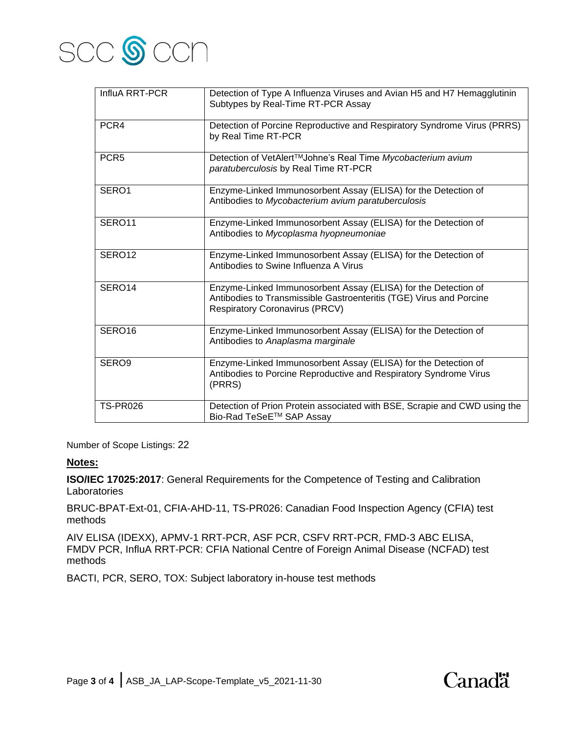

| InfluA RRT-PCR     | Detection of Type A Influenza Viruses and Avian H5 and H7 Hemagglutinin<br>Subtypes by Real-Time RT-PCR Assay                                                                  |
|--------------------|--------------------------------------------------------------------------------------------------------------------------------------------------------------------------------|
| PCR4               | Detection of Porcine Reproductive and Respiratory Syndrome Virus (PRRS)<br>by Real Time RT-PCR                                                                                 |
| PCR <sub>5</sub>   | Detection of VetAlert™Johne's Real Time Mycobacterium avium<br>paratuberculosis by Real Time RT-PCR                                                                            |
| SERO1              | Enzyme-Linked Immunosorbent Assay (ELISA) for the Detection of<br>Antibodies to Mycobacterium avium paratuberculosis                                                           |
| SERO11             | Enzyme-Linked Immunosorbent Assay (ELISA) for the Detection of<br>Antibodies to Mycoplasma hyopneumoniae                                                                       |
| SERO12             | Enzyme-Linked Immunosorbent Assay (ELISA) for the Detection of<br>Antibodies to Swine Influenza A Virus                                                                        |
| SERO14             | Enzyme-Linked Immunosorbent Assay (ELISA) for the Detection of<br>Antibodies to Transmissible Gastroenteritis (TGE) Virus and Porcine<br><b>Respiratory Coronavirus (PRCV)</b> |
| SERO <sub>16</sub> | Enzyme-Linked Immunosorbent Assay (ELISA) for the Detection of<br>Antibodies to Anaplasma marginale                                                                            |
| SERO <sub>9</sub>  | Enzyme-Linked Immunosorbent Assay (ELISA) for the Detection of<br>Antibodies to Porcine Reproductive and Respiratory Syndrome Virus<br>(PRRS)                                  |
| <b>TS-PR026</b>    | Detection of Prion Protein associated with BSE, Scrapie and CWD using the<br>Bio-Rad TeSeE™ SAP Assay                                                                          |

Number of Scope Listings: 22

#### **Notes:**

**ISO/IEC 17025:2017**: General Requirements for the Competence of Testing and Calibration Laboratories

BRUC-BPAT-Ext-01, CFIA-AHD-11, TS-PR026: Canadian Food Inspection Agency (CFIA) test methods

AIV ELISA (IDEXX), APMV-1 RRT-PCR, ASF PCR, CSFV RRT-PCR, FMD-3 ABC ELISA, FMDV PCR, InfluA RRT-PCR: CFIA National Centre of Foreign Animal Disease (NCFAD) test methods

Canadä

BACTI, PCR, SERO, TOX: Subject laboratory in-house test methods